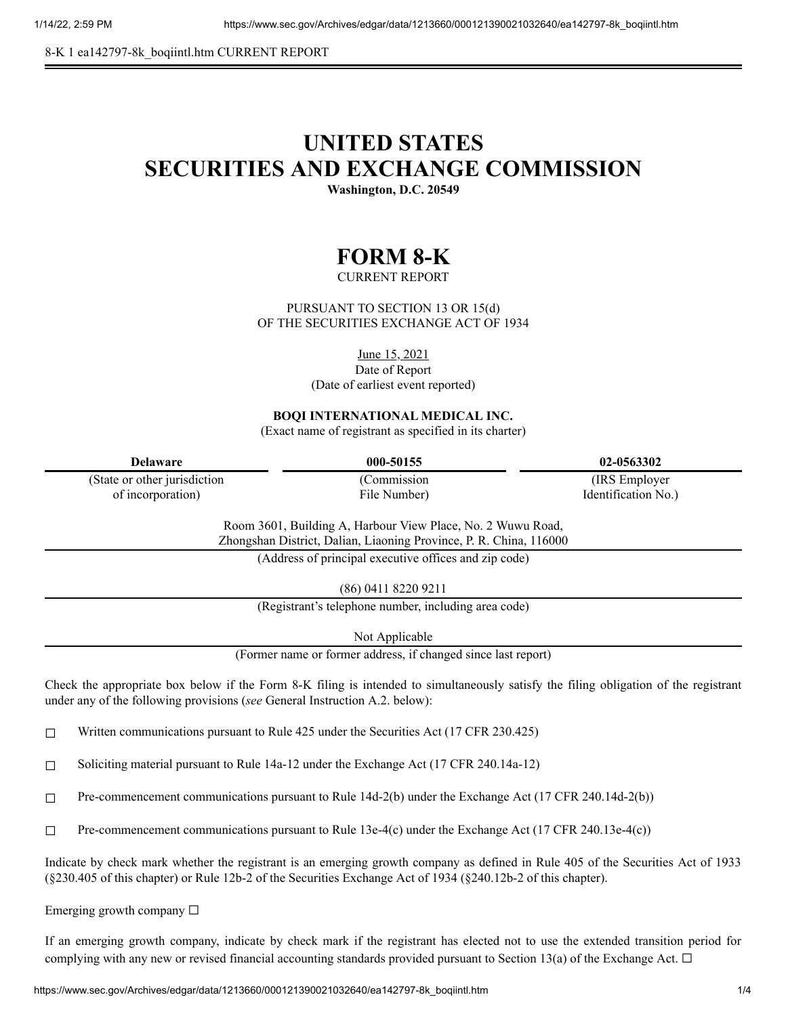8-K 1 ea142797-8k\_boqiintl.htm CURRENT REPORT

## **UNITED STATES SECURITIES AND EXCHANGE COMMISSION**

**Washington, D.C. 20549**

## **FORM 8-K**

CURRENT REPORT

PURSUANT TO SECTION 13 OR 15(d) OF THE SECURITIES EXCHANGE ACT OF 1934

June 15, 2021

Date of Report

(Date of earliest event reported)

**BOQI INTERNATIONAL MEDICAL INC.**

(Exact name of registrant as specified in its charter)

| Delaware                      | 000-50155    | 02-0563302          |
|-------------------------------|--------------|---------------------|
| (State or other jurisdiction) | Commission   | (IRS Employer)      |
| of incorporation)             | File Number) | Identification No.) |

Room 3601, Building A, Harbour View Place, No. 2 Wuwu Road, Zhongshan District, Dalian, Liaoning Province, P. R. China, 116000

(Address of principal executive offices and zip code)

(86) 0411 8220 9211

(Registrant's telephone number, including area code)

Not Applicable

(Former name or former address, if changed since last report)

Check the appropriate box below if the Form 8-K filing is intended to simultaneously satisfy the filing obligation of the registrant under any of the following provisions (*see* General Instruction A.2. below):

 $\Box$  Written communications pursuant to Rule 425 under the Securities Act (17 CFR 230.425)

☐ Soliciting material pursuant to Rule 14a-12 under the Exchange Act (17 CFR 240.14a-12)

☐ Pre-commencement communications pursuant to Rule 14d-2(b) under the Exchange Act (17 CFR 240.14d-2(b))

 $\Box$  Pre-commencement communications pursuant to Rule 13e-4(c) under the Exchange Act (17 CFR 240.13e-4(c))

Indicate by check mark whether the registrant is an emerging growth company as defined in Rule 405 of the Securities Act of 1933 (§230.405 of this chapter) or Rule 12b-2 of the Securities Exchange Act of 1934 (§240.12b-2 of this chapter).

Emerging growth company  $\Box$ 

If an emerging growth company, indicate by check mark if the registrant has elected not to use the extended transition period for complying with any new or revised financial accounting standards provided pursuant to Section 13(a) of the Exchange Act.  $\Box$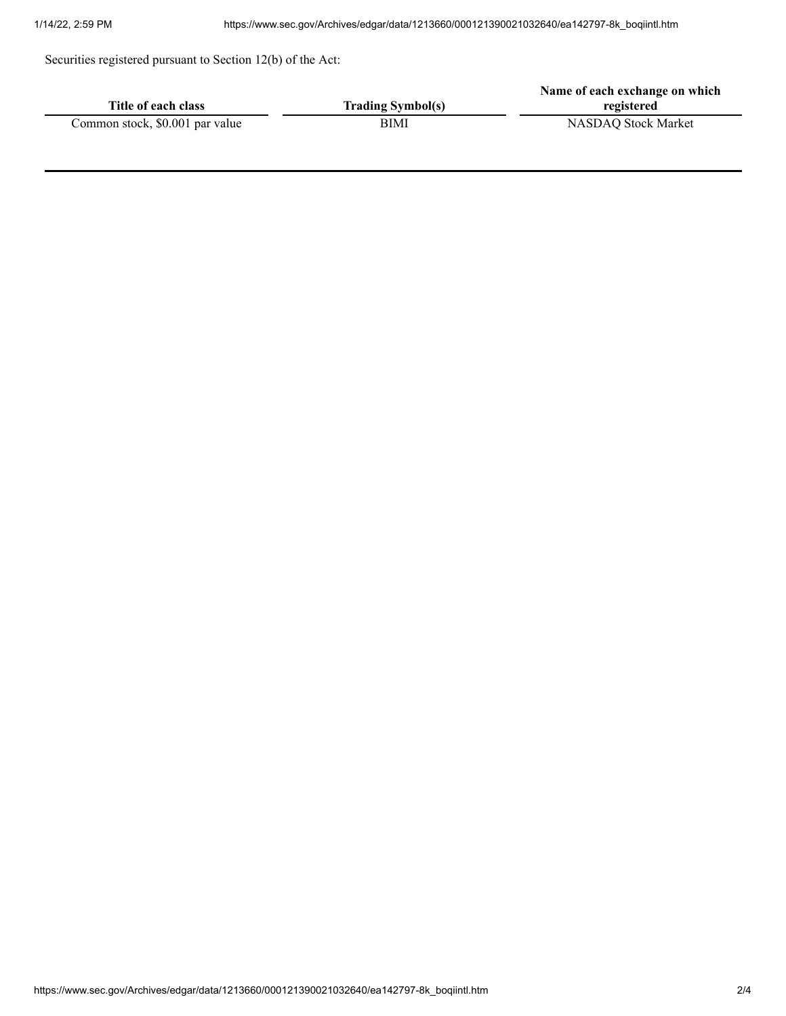Securities registered pursuant to Section 12(b) of the Act:

|                                 |                          | Name of each exchange on which |
|---------------------------------|--------------------------|--------------------------------|
| Title of each class             | <b>Trading Symbol(s)</b> | registered                     |
| Common stock, \$0.001 par value | BIMI                     | NASDAQ Stock Market            |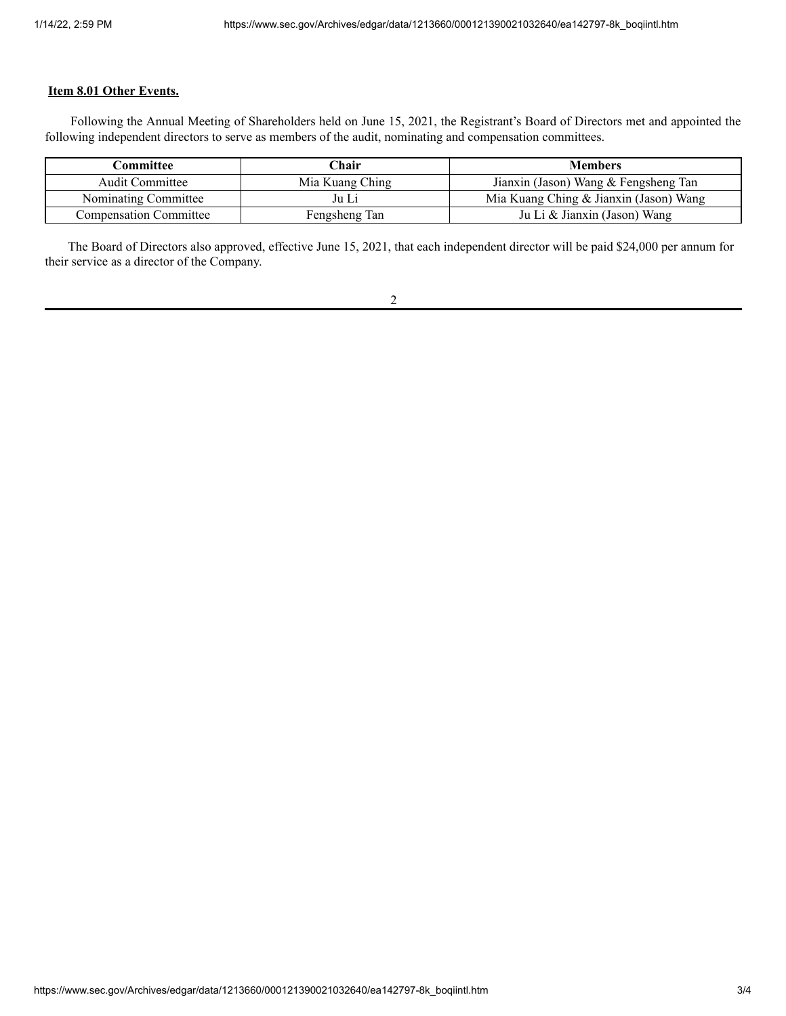## **Item 8.01 Other Events.**

Following the Annual Meeting of Shareholders held on June 15, 2021, the Registrant's Board of Directors met and appointed the following independent directors to serve as members of the audit, nominating and compensation committees.

| Committee                     | ∑hair           | <b>Members</b>                         |
|-------------------------------|-----------------|----------------------------------------|
| <b>Audit Committee</b>        | Mia Kuang Ching | Jianxin (Jason) Wang & Fengsheng Tan   |
| Nominating Committee          | Ju Li           | Mia Kuang Ching & Jianxin (Jason) Wang |
| <b>Compensation Committee</b> | Fengsheng Tan   | Ju Li & Jianxin (Jason) Wang           |

The Board of Directors also approved, effective June 15, 2021, that each independent director will be paid \$24,000 per annum for their service as a director of the Company.